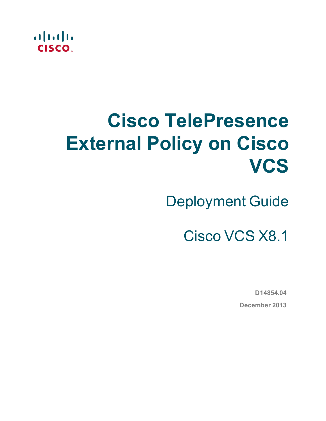

# **Cisco TelePresence External Policy on Cisco VCS**

Deployment Guide

Cisco VCS X8.1

**D14854.04 December 2013**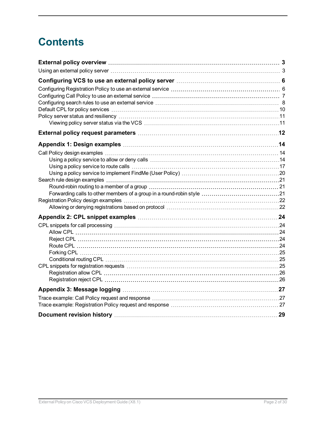## **Contents**

| External policy overview measure and the control of the state of the state of the state of the state of the st |  |
|----------------------------------------------------------------------------------------------------------------|--|
|                                                                                                                |  |
|                                                                                                                |  |
|                                                                                                                |  |
|                                                                                                                |  |
|                                                                                                                |  |
|                                                                                                                |  |
|                                                                                                                |  |
|                                                                                                                |  |
|                                                                                                                |  |
|                                                                                                                |  |
|                                                                                                                |  |
|                                                                                                                |  |
|                                                                                                                |  |
|                                                                                                                |  |
|                                                                                                                |  |
|                                                                                                                |  |
|                                                                                                                |  |
|                                                                                                                |  |
|                                                                                                                |  |
|                                                                                                                |  |
|                                                                                                                |  |
|                                                                                                                |  |
|                                                                                                                |  |
|                                                                                                                |  |
|                                                                                                                |  |
|                                                                                                                |  |
|                                                                                                                |  |
|                                                                                                                |  |
|                                                                                                                |  |
|                                                                                                                |  |
|                                                                                                                |  |
|                                                                                                                |  |
|                                                                                                                |  |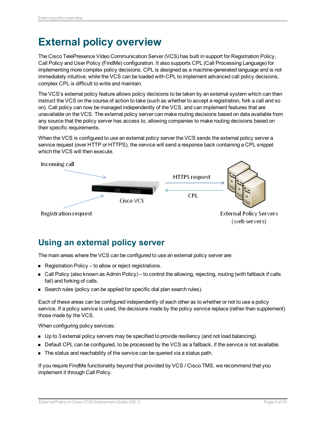## <span id="page-2-0"></span>**External policy overview**

The Cisco TelePresence Video Communication Server (VCS) has built in support for Registration Policy, Call Policy and User Policy (FindMe) configuration. It also supports CPL (Call Processing Language) for implementing more complex policy decisions. CPL is designed as a machine-generated language and is not immediately intuitive; while the VCS can be loaded with CPL to implement advanced call policy decisions, complex CPL is difficult to write and maintain.

The VCS's external policy feature allows policy decisions to be taken by an external system which can then instruct the VCS on the course of action to take (such as whether to accept a registration, fork a call and so on). Call policy can now be managed independently of the VCS, and can implement features that are unavailable on the VCS. The external policy server can make routing decisions based on data available from any source that the policy server has access to, allowing companies to make routing decisions based on their specific requirements.

When the VCS is configured to use an external policy server the VCS sends the external policy server a service request (over HTTP or HTTPS), the service will send a response back containing a CPL snippet which the VCS will then execute.



## <span id="page-2-1"></span>**Using an external policy server**

The main areas where the VCS can be configured to use an external policy server are:

- Registration Policy to allow or reject registrations.
- Call Policy (also known as Admin Policy) to control the allowing, rejecting, routing (with fallback if calls fail) and forking of calls.
- Search rules (policy can be applied for specific dial plan search rules).

Each of these areas can be configured independently of each other as to whether or not to use a policy service. If a policy service is used, the decisions made by the policy service replace (rather than supplement) those made by the VCS.

When configuring policy services:

- Up to 3 external policy servers may be specified to provide resiliency (and not load balancing).
- Default CPL can be configured, to be processed by the VCS as a fallback, if the service is not available.
- The status and reachability of the service can be queried via a status path.

If you require FindMe functionality beyond that provided by VCS / Cisco TMS, we recommend that you implement it through Call Policy.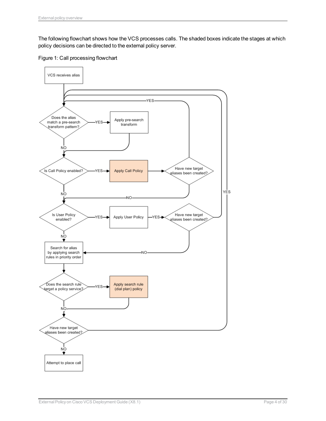The following flowchart shows how the VCS processes calls. The shaded boxes indicate the stages at which policy decisions can be directed to the external policy server.



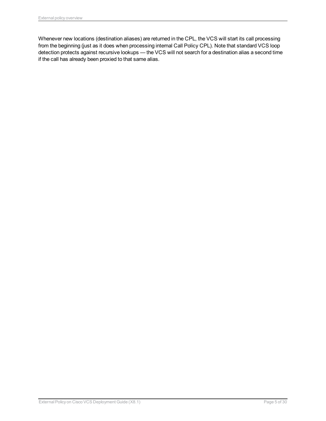Whenever new locations (destination aliases) are returned in the CPL, the VCS will start its call processing from the beginning (just as it does when processing internal Call Policy CPL). Note that standard VCS loop detection protects against recursive lookups — the VCS will not search for a destination alias a second time if the call has already been proxied to that same alias.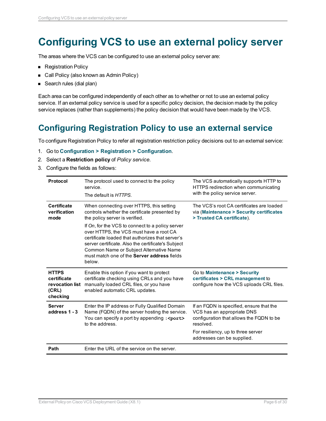## <span id="page-5-0"></span>**Configuring VCS to use an external policy server**

The areas where the VCS can be configured to use an external policy server are:

- **Registration Policy**
- Call Policy (also known as Admin Policy)
- Search rules (dial plan)

Each area can be configured independently of each other as to whether or not to use an external policy service. If an external policy service is used for a specific policy decision, the decision made by the policy service replaces (rather than supplements) the policy decision that would have been made by the VCS.

## <span id="page-5-1"></span>**Configuring Registration Policy to use an external service**

To configure Registration Policy to refer all registration restriction policy decisions out to an external service:

- 1. Go to **Configuration > Registration > Configuration**.
- 2. Select a **Restriction policy** of *Policy service*.
- 3. Configure the fields as follows:

| Protocol                                                            | The protocol used to connect to the policy<br>service.<br>The default is HTTPS.                                                                                                                                                                                                                           | The VCS automatically supports HTTP to<br>HTTPS redirection when communicating<br>with the policy service server.               |
|---------------------------------------------------------------------|-----------------------------------------------------------------------------------------------------------------------------------------------------------------------------------------------------------------------------------------------------------------------------------------------------------|---------------------------------------------------------------------------------------------------------------------------------|
| <b>Certificate</b><br>verification<br>mode                          | When connecting over HTTPS, this setting<br>controls whether the certificate presented by<br>the policy server is verified.                                                                                                                                                                               | The VCS's root CA certificates are loaded<br>via (Maintenance > Security certificates<br>> Trusted CA certificate).             |
|                                                                     | If On, for the VCS to connect to a policy server<br>over HTTPS, the VCS must have a root CA<br>certificate loaded that authorizes that server's<br>server certificate. Also the certificate's Subject<br>Common Name or Subject Alternative Name<br>must match one of the Server address fields<br>below. |                                                                                                                                 |
| <b>HTTPS</b><br>certificate<br>revocation list<br>(CRL)<br>checking | Enable this option if you want to protect<br>certificate checking using CRLs and you have<br>manually loaded CRL files, or you have<br>enabled automatic CRL updates.                                                                                                                                     | Go to Maintenance > Security<br>certificates > CRL management to<br>configure how the VCS uploads CRL files.                    |
| <b>Server</b><br>address 1 - 3                                      | Enter the IP address or Fully Qualified Domain<br>Name (FQDN) of the server hosting the service.<br>You can specify a port by appending : < port><br>to the address.                                                                                                                                      | If an FQDN is specified, ensure that the<br>VCS has an appropriate DNS<br>configuration that allows the FQDN to be<br>resolved. |
|                                                                     |                                                                                                                                                                                                                                                                                                           | For resiliency, up to three server<br>addresses can be supplied.                                                                |
| Path                                                                | Enter the URL of the service on the server.                                                                                                                                                                                                                                                               |                                                                                                                                 |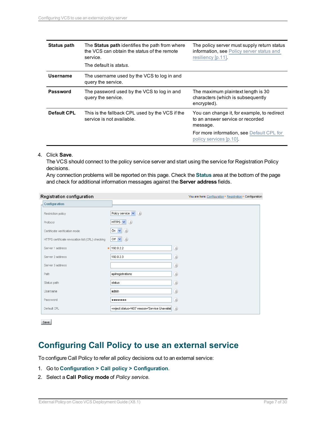| Status path        | The <b>Status path</b> identifies the path from where<br>the VCS can obtain the status of the remote<br>service.<br>The default is <i>status</i> . | The policy server must supply return status<br>information, see Policy server status and<br>resiliency [p.11]. |
|--------------------|----------------------------------------------------------------------------------------------------------------------------------------------------|----------------------------------------------------------------------------------------------------------------|
| Username           | The username used by the VCS to log in and<br>query the service.                                                                                   |                                                                                                                |
| Password           | The password used by the VCS to log in and<br>query the service.                                                                                   | The maximum plaintext length is 30<br>characters (which is subsequently<br>encrypted).                         |
| <b>Default CPL</b> | This is the fallback CPL used by the VCS if the<br>service is not available.                                                                       | You can change it, for example, to redirect<br>to an answer service or recorded<br>message.                    |
|                    |                                                                                                                                                    | For more information, see Default CPL for<br>policy services [p.10].                                           |

#### 4. Click **Save**.

The VCS should connect to the policy service server and start using the service for Registration Policy decisions.

Any connection problems will be reported on this page. Check the **Status** area at the bottom of the page and check for additional information messages against the **Server address** fields.

#### Registration configuration

| Registration configuration                       |                                                                  | You are here: Configuration > Registration > Configuration |
|--------------------------------------------------|------------------------------------------------------------------|------------------------------------------------------------|
| <b>Configuration</b>                             |                                                                  |                                                            |
| Restriction policy                               | Policy service $\vert \mathbf{v} \vert$ $(i)$                    |                                                            |
| Protocol                                         | (i)<br>HTTPS V                                                   |                                                            |
| Certificate verification mode                    | On $\vee$ $(i)$                                                  |                                                            |
| HTTPS certificate revocation list (CRL) checking | Off $\vee$ $(i)$                                                 |                                                            |
| Server 1 address                                 | $\star$ 192.0.2.2                                                | $\bigcirc$                                                 |
| Server 2 address                                 | 192.0.2.3                                                        | $\left(\begin{matrix} \hat{t} \end{matrix}\right)$         |
| Server 3 address                                 |                                                                  | $\left(\hat{i}\right)$                                     |
| Path                                             | api/registrations                                                | $\left(\hat{i}\right)$                                     |
| Status path                                      | status                                                           | (i)                                                        |
| Username                                         | admin                                                            | $\left(i\right)$                                           |
| Password                                         |                                                                  | (i)                                                        |
| Default CPL                                      | <reject status='403' reason='Service Unavailak</td> <td>(i)</td> | (i)                                                        |

Save

### <span id="page-6-0"></span>**Configuring Call Policy to use an external service**

To configure Call Policy to refer all policy decisions out to an external service:

- 1. Go to **Configuration > Call policy > Configuration**.
- 2. Select a **Call Policy mode** of *Policy service*.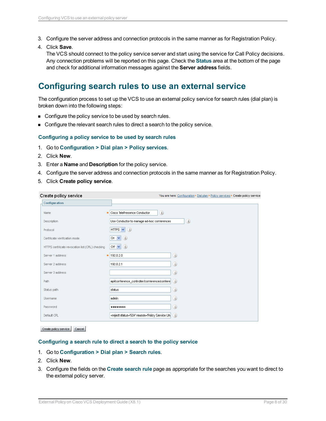- 3. Configure the server address and connection protocols in the same manner as for Registration Policy.
- 4. Click **Save**.

The VCS should connect to the policy service server and start using the service for Call Policy decisions. Any connection problems will be reported on this page. Check the **Status** area at the bottom of the page and check for additional information messages against the **Server address** fields.

### <span id="page-7-0"></span>**Configuring search rules to use an external service**

The configuration process to set up the VCS to use an external policy service for search rules (dial plan) is broken down into the following steps:

- **n** Configure the policy service to be used by search rules.
- **n** Configure the relevant search rules to direct a search to the policy service.

#### **Configuring a policy service to be used by search rules**

- 1. Go to **Configuration > Dial plan > Policy services**.
- 2. Click **New**.
- 3. Enter a **Name** and **Description** for the policy service.
- 4. Configure the server address and connection protocols in the same manner as for Registration Policy.
- 5. Click **Create policy service**.

| Create policy service                            | You are here: Configuration ▶ Dial plan ▶ Policy services ▶ Create policy service |
|--------------------------------------------------|-----------------------------------------------------------------------------------|
| <b>Configuration</b>                             |                                                                                   |
| Name<br>米                                        | (i)<br>Cisco TelePresence Conductor                                               |
| Description                                      | (i)<br>Use Conductor to manage ad-hoc conferences                                 |
| Protocol                                         | HTTPS $\vee$ ( <i>i</i> )                                                         |
| Certificate verification mode                    | On $\vee$ $(i)$                                                                   |
| HTTPS certificate revocation list (CRL) checking | Off $\vee$ ( <i>i</i> )                                                           |
| Server 1 address                                 | (i)<br>$*$ 192.0.2.0                                                              |
| Server 2 address                                 | (i)<br>192.0.2.1                                                                  |
| Server 3 address                                 | (i)                                                                               |
| Path                                             | (i)<br>api/conference_controller/conference/confere                               |
| Status path                                      | (i)<br>status                                                                     |
| Username                                         | (i)<br>admin                                                                      |
| Password                                         | (i)<br>                                                                           |
| Default CPL                                      | <reject status='504' reason='Policy Service Un: (1)</td>                          |

#### Create policy service | Cancel |

#### **Configuring a search rule to direct a search to the policy service**

- 1. Go to **Configuration > Dial plan > Search rules**.
- 2. Click **New**.
- 3. Configure the fields on the **Create search rule** page as appropriate for the searches you want to direct to the external policy server.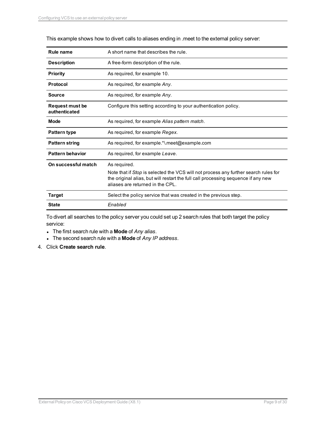| Rule name                               | A short name that describes the rule.                                                                                                                                                                                        |
|-----------------------------------------|------------------------------------------------------------------------------------------------------------------------------------------------------------------------------------------------------------------------------|
| <b>Description</b>                      | A free-form description of the rule.                                                                                                                                                                                         |
| Priority                                | As required, for example 10.                                                                                                                                                                                                 |
| Protocol                                | As required, for example Any.                                                                                                                                                                                                |
| <b>Source</b>                           | As required, for example Any.                                                                                                                                                                                                |
| <b>Request must be</b><br>authenticated | Configure this setting according to your authentication policy.                                                                                                                                                              |
| <b>Mode</b>                             | As required, for example Alias pattern match.                                                                                                                                                                                |
| <b>Pattern type</b>                     | As required, for example Regex.                                                                                                                                                                                              |
| <b>Pattern string</b>                   | As required, for example.*\.meet@example.com                                                                                                                                                                                 |
| <b>Pattern behavior</b>                 | As required, for example Leave.                                                                                                                                                                                              |
| On successful match                     | As required.<br>Note that if Stop is selected the VCS will not process any further search rules for<br>the original alias, but will restart the full call processing sequence if any new<br>aliases are returned in the CPL. |
| Target                                  | Select the policy service that was created in the previous step.                                                                                                                                                             |
| <b>State</b>                            | Enabled                                                                                                                                                                                                                      |

This example shows how to divert calls to aliases ending in .meet to the external policy server:

To divert all searches to the policy server you could set up 2 search rules that both target the policy service:

- <sup>l</sup> The first search rule with a **Mode** of *Any alias*.
- <sup>l</sup> The second search rule with a **Mode** of *Any IP address*.
- 4. Click **Create search rule**.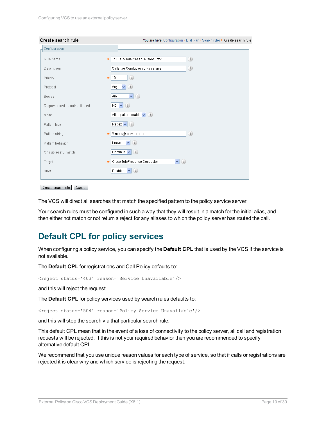| <b>Configuration</b>          |                                                  |
|-------------------------------|--------------------------------------------------|
| Rule name                     | (i)<br>To Cisco TelePresence Conductor           |
| Description                   | (i)<br>Calls the Conductor policy service        |
| Priority                      | (i)<br>10<br>$\frac{1}{2}$                       |
| Protocol                      | $\checkmark$<br>(i)<br>Any                       |
| Source                        | $\vee$ (i)<br>Any                                |
| Request must be authenticated | No $\vee$ ( <i>i</i> )                           |
| Mode                          | Alias pattern match $\vert \mathbf{v} \vert$ (i) |
| Pattern type                  | Regex $\mathbf{v}$ ( <i>i</i> )                  |
| Pattern string                | (i)<br>*\meet@example.com                        |
| Pattern behavior              | $\vee$ (i)<br>Leave                              |
| On successful match           | Continue $\vert \mathbf{v} \vert$ $(i)$          |
| Target                        | $\vee$ (i)<br>Cisco TelePresence Conductor       |
| State                         | (i)<br>Enabled V                                 |

```
Create search rule | Cancel
```
The VCS will direct all searches that match the specified pattern to the policy service server.

Your search rules must be configured in such a way that they will result in a match for the initial alias, and then either not match or not return a reject for any aliases to which the policy server has routed the call.

### <span id="page-9-0"></span>**Default CPL for policy services**

When configuring a policy service, you can specify the **Default CPL** that is used by the VCS if the service is not available.

The **Default CPL** for registrations and Call Policy defaults to:

<reject status='403' reason='Service Unavailable'/>

and this will reject the request.

The **Default CPL** for policy services used by search rules defaults to:

<reject status='504' reason='Policy Service Unavailable'/>

and this will stop the search via that particular search rule.

This default CPL mean that in the event of a loss of connectivity to the policy server, all call and registration requests will be rejected. If this is not your required behavior then you are recommended to specify alternative default CPL.

We recommend that you use unique reason values for each type of service, so that if calls or registrations are rejected it is clear why and which service is rejecting the request.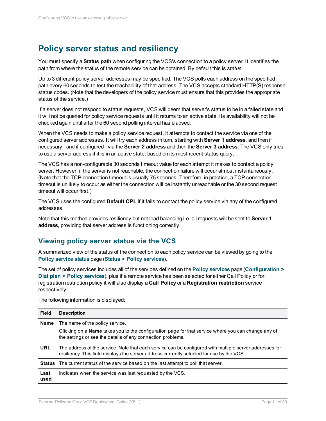## <span id="page-10-0"></span>**Policy server status and resiliency**

You must specify a **Status path** when configuring the VCS's connection to a policy server. It identifies the path from where the status of the remote service can be obtained. By default this is *status*.

Up to 3 different policy server addresses may be specified. The VCS polls each address on the specified path every 60 seconds to test the reachability of that address. The VCS accepts standard HTTP(S) response status codes. (Note that the developers of the policy service must ensure that this provides the appropriate status of the service.)

If a server does not respond to status requests, VCS will deem that server's status to be in a failed state and it will not be queried for policy service requests until it returns to an active state. Its availability will not be checked again until after the 60 second polling interval has elapsed.

When the VCS needs to make a policy service request, it attempts to contact the service via one of the configured server addresses. It will try each address in turn, starting with **Server 1 address**, and then if necessary - and if configured - via the **Server 2 address** and then the **Server 3 address**. The VCS only tries to use a server address if it is in an active state, based on its most recent status query.

The VCS has a non-configurable 30 seconds timeout value for each attempt it makes to contact a policy server. However, if the server is not reachable, the connection failure will occur almost instantaneously. (Note that the TCP connection timeout is usually 75 seconds. Therefore, in practice, a TCP connection timeout is unlikely to occur as either the connection will be instantly unreachable or the 30 second request timeout will occur first.)

The VCS uses the configured **Default CPL** if it fails to contact the policy service via any of the configured addresses.

Note that this method provides resiliency but not load balancing i.e. all requests will be sent to **Server 1 address**, providing that server address is functioning correctly.

#### <span id="page-10-1"></span>**Viewing policy server status via the VCS**

A summarized view of the status of the connection to each policy service can be viewed by going to the **Policy service status** page (**Status > Policy services**).

The set of policy services includes all of the services defined on the **Policy services** page (**Configuration > Dial plan > Policy services**), plus if a remote service has been selected for either Call Policy or for registration restriction policy it will also display a **Call Policy** or a **Registration restriction** service respectively.

The following information is displayed:

| <b>Field</b>  | <b>Description</b>                                                                                                                                                                                   |
|---------------|------------------------------------------------------------------------------------------------------------------------------------------------------------------------------------------------------|
| <b>Name</b>   | The name of the policy service.                                                                                                                                                                      |
|               | Clicking on a <b>Name</b> takes you to the configuration page for that service where you can change any of<br>the settings or see the details of any connection problems.                            |
| <b>URL</b>    | The address of the service. Note that each service can be configured with multiple server addresses for<br>resiliency. This field displays the server address currently selected for use by the VCS. |
| <b>Status</b> | The current status of the service based on the last attempt to poll that server.                                                                                                                     |
| Last<br>used  | Indicates when the service was last requested by the VCS.                                                                                                                                            |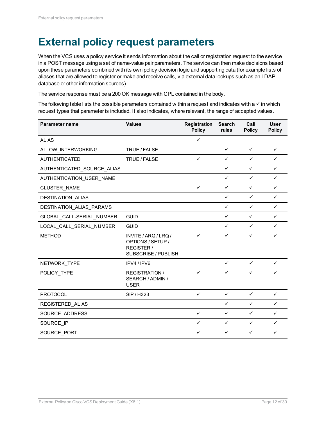## <span id="page-11-0"></span>**External policy request parameters**

When the VCS uses a policy service it sends information about the call or registration request to the service in a POST message using a set of name-value pair parameters. The service can then make decisions based upon these parameters combined with its own policy decision logic and supporting data (for example lists of aliases that are allowed to register or make and receive calls, via external data lookups such as an LDAP database or other information sources).

The service response must be a 200 OK message with CPL contained in the body.

The following table lists the possible parameters contained within a request and indicates with a  $\checkmark$  in which request types that parameter is included. It also indicates, where relevant, the range of accepted values.

| <b>Parameter name</b>      | <b>Values</b>                                                                  | <b>Registration</b><br><b>Policy</b> | <b>Search</b><br>rules | Call<br><b>Policy</b> | <b>User</b><br><b>Policy</b> |
|----------------------------|--------------------------------------------------------------------------------|--------------------------------------|------------------------|-----------------------|------------------------------|
| <b>ALIAS</b>               |                                                                                | ✓                                    |                        |                       |                              |
| ALLOW_INTERWORKING         | TRUE / FALSE                                                                   |                                      | $\checkmark$           | $\checkmark$          | ✓                            |
| <b>AUTHENTICATED</b>       | TRUE / FALSE                                                                   | $\checkmark$                         | $\checkmark$           | $\checkmark$          | $\checkmark$                 |
| AUTHENTICATED_SOURCE_ALIAS |                                                                                |                                      | ✓                      | $\checkmark$          | ✓                            |
| AUTHENTICATION_USER_NAME   |                                                                                |                                      | ✓                      | $\checkmark$          | ✓                            |
| CLUSTER NAME               |                                                                                | ✓                                    | $\checkmark$           | $\checkmark$          | $\checkmark$                 |
| DESTINATION_ALIAS          |                                                                                |                                      | $\checkmark$           | $\checkmark$          | $\checkmark$                 |
| DESTINATION ALIAS PARAMS   |                                                                                |                                      | $\checkmark$           | $\checkmark$          | ✓                            |
| GLOBAL_CALL-SERIAL_NUMBER  | <b>GUID</b>                                                                    |                                      | $\checkmark$           | $\checkmark$          | ✓                            |
| LOCAL_CALL_SERIAL_NUMBER   | <b>GUID</b>                                                                    |                                      | $\checkmark$           | $\checkmark$          | $\checkmark$                 |
| <b>METHOD</b>              | INVITE / ARQ / LRQ /<br>OPTIONS / SETUP /<br>REGISTER /<br>SUBSCRIBE / PUBLISH | ✓                                    | ✓                      | $\checkmark$          | $\checkmark$                 |
| NETWORK TYPE               | IPV4 / IPV6                                                                    |                                      | $\checkmark$           | $\checkmark$          | ✓                            |
| POLICY_TYPE                | <b>REGISTRATION /</b><br>SEARCH / ADMIN /<br><b>USER</b>                       | ✓                                    | $\checkmark$           | $\checkmark$          | $\checkmark$                 |
| <b>PROTOCOL</b>            | <b>SIP/H323</b>                                                                | $\checkmark$                         | $\checkmark$           | $\checkmark$          | $\checkmark$                 |
| REGISTERED_ALIAS           |                                                                                |                                      | ✓                      | $\checkmark$          | ✓                            |
| SOURCE_ADDRESS             |                                                                                | ✓                                    | ✓                      | $\checkmark$          | ✓                            |
| SOURCE IP                  |                                                                                | $\checkmark$                         | $\checkmark$           | $\checkmark$          | $\checkmark$                 |
| SOURCE PORT                |                                                                                | ✓                                    | ✓                      | ✓                     | ✓                            |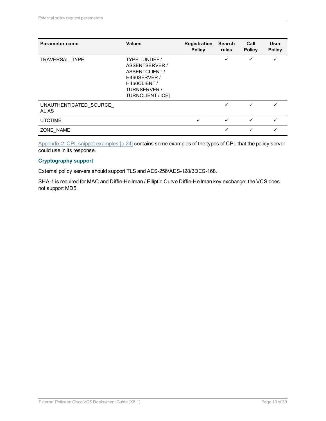| Parameter name                         | <b>Values</b>                                                                                                                | <b>Registration</b><br><b>Policy</b> | <b>Search</b><br>rules | Call<br><b>Policy</b> | <b>User</b><br><b>Policy</b> |
|----------------------------------------|------------------------------------------------------------------------------------------------------------------------------|--------------------------------------|------------------------|-----------------------|------------------------------|
| TRAVERSAL TYPE                         | TYPE [UNDEF /<br>ASSENTSERVER /<br>ASSENTCLIENT /<br>H460SERVER /<br>H460CLIENT/<br><b>TURNSERVER /</b><br>TURNCLIENT / ICE] |                                      | ✓                      |                       |                              |
| UNAUTHENTICATED SOURCE<br><b>ALIAS</b> |                                                                                                                              |                                      | ✓                      | ✓                     | ✓                            |
| <b>UTCTIME</b>                         |                                                                                                                              | ✓                                    | ✓                      | ✓                     | ✓                            |
| ZONE NAME                              |                                                                                                                              |                                      | ✓                      | ✓                     |                              |

Appendix 2: CPL snippet [examples](#page-23-0) [p.24] contains some examples of the types of CPL that the policy server could use in its response.

#### **Cryptography support**

External policy servers should support TLS and AES-256/AES-128/3DES-168.

SHA-1 is required for MAC and Diffie-Hellman / Elliptic Curve Diffie-Hellman key exchange; the VCS does not support MD5.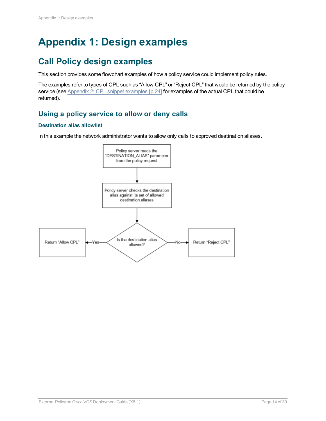## <span id="page-13-0"></span>**Appendix 1: Design examples**

## <span id="page-13-1"></span>**Call Policy design examples**

This section provides some flowchart examples of how a policy service could implement policy rules.

The examples refer to types of CPL such as "Allow CPL" or "Reject CPL" that would be returned by the policy service (see Appendix 2: CPL snippet [examples](#page-23-0) [p.24] for examples of the actual CPL that could be returned).

### <span id="page-13-2"></span>**Using a policy service to allow or deny calls**

#### **Destination alias allowlist**

In this example the network administrator wants to allow only calls to approved destination aliases.

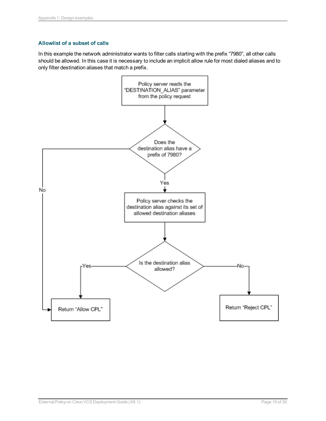#### **Allowlist of a subset of calls**

In this example the network administrator wants to filter calls starting with the prefix "7980", all other calls should be allowed. In this case it is necessary to include an implicit allow rule for most dialed aliases and to only filter destination aliases that match a prefix.

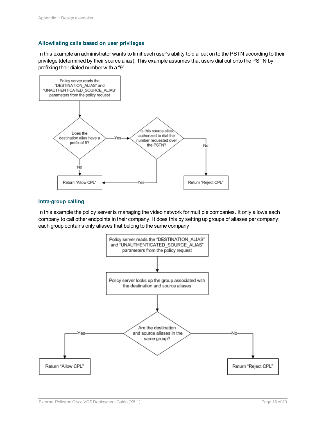#### **Allowlisting calls based on user privileges**

In this example an administrator wants to limit each user's ability to dial out on to the PSTN according to their privilege (determined by their source alias). This example assumes that users dial out onto the PSTN by prefixing their dialed number with a "9".



#### **Intra-group calling**

In this example the policy server is managing the video network for multiple companies. It only allows each company to call other endpoints in their company. It does this by setting up groups of aliases per company; each group contains only aliases that belong to the same company.

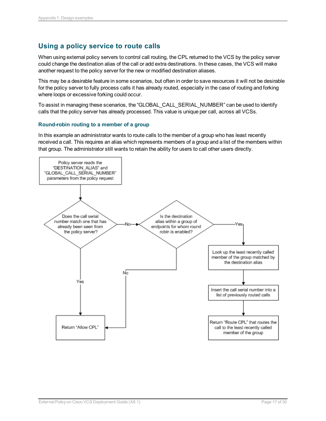#### <span id="page-16-0"></span>**Using a policy service to route calls**

When using external policy servers to control call routing, the CPL returned to the VCS by the policy server could change the destination alias of the call or add extra destinations. In these cases, the VCS will make another request to the policy server for the new or modified destination aliases.

This may be a desirable feature in some scenarios, but often in order to save resources it will not be desirable for the policy server to fully process calls it has already routed, especially in the case of routing and forking where loops or excessive forking could occur.

To assist in managing these scenarios, the "GLOBAL\_CALL\_SERIAL\_NUMBER" can be used to identify calls that the policy server has already processed. This value is unique per call, across all VCSs.

#### **Round-robin routing to a member of a group**

In this example an administrator wants to route calls to the member of a group who has least recently received a call. This requires an alias which represents members of a group and a list of the members within that group. The administrator still wants to retain the ability for users to call other users directly.

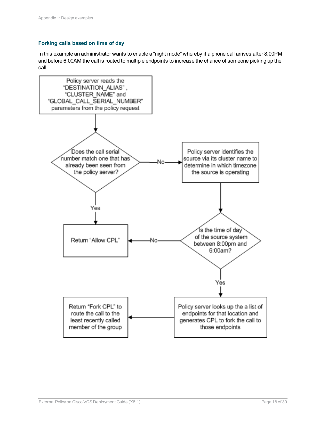#### **Forking calls based on time of day**

In this example an administrator wants to enable a "night mode" whereby if a phone call arrives after 8:00PM and before 6:00AM the call is routed to multiple endpoints to increase the chance of someone picking up the call.

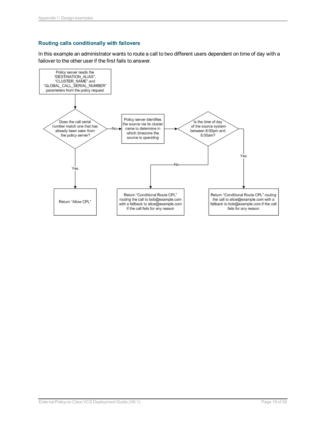#### **Routing calls conditionally with failovers**

In this example an administrator wants to route a call to two different users dependent on time of day with a failover to the other user if the first fails to answer.

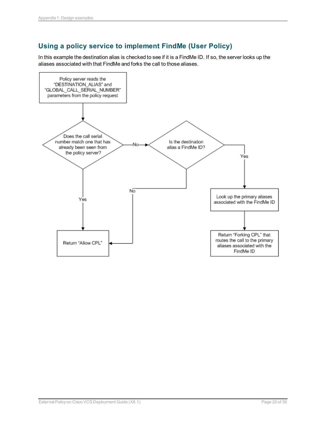### <span id="page-19-0"></span>**Using a policy service to implement FindMe (User Policy)**

In this example the destination alias is checked to see if it is a FindMe ID. If so, the server looks up the aliases associated with that FindMe and forks the call to those aliases.

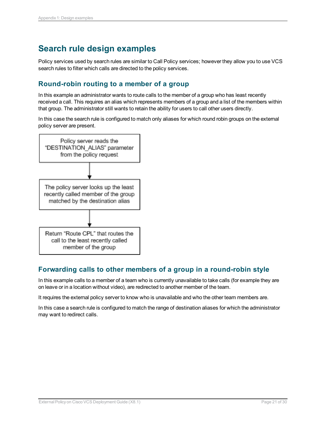## <span id="page-20-0"></span>**Search rule design examples**

Policy services used by search rules are similar to Call Policy services; however they allow you to use VCS search rules to filter which calls are directed to the policy services.

#### <span id="page-20-1"></span>**Round-robin routing to a member of a group**

In this example an administrator wants to route calls to the member of a group who has least recently received a call. This requires an alias which represents members of a group and a list of the members within that group. The administrator still wants to retain the ability for users to call other users directly.

In this case the search rule is configured to match only aliases for which round robin groups on the external policy server are present.



#### <span id="page-20-2"></span>**Forwarding calls to other members of a group in a round-robin style**

In this example calls to a member of a team who is currently unavailable to take calls (for example they are on leave or in a location without video), are redirected to another member of the team.

It requires the external policy server to know who is unavailable and who the other team members are.

In this case a search rule is configured to match the range of destination aliases for which the administrator may want to redirect calls.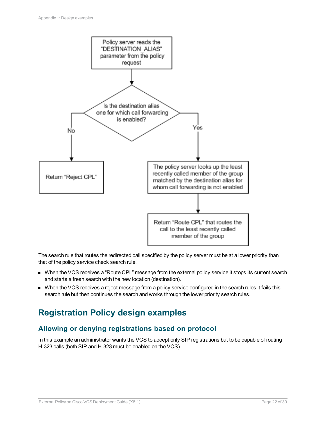

The search rule that routes the redirected call specified by the policy server must be at a lower priority than that of the policy service check search rule.

- <sup>n</sup> When the VCS receives a "Route CPL" message from the external policy service it stops its current search and starts a fresh search with the new location (destination).
- <sup>n</sup> When the VCS receives a reject message from a policy service configured in the search rules it fails this search rule but then continues the search and works through the lower priority search rules.

## <span id="page-21-0"></span>**Registration Policy design examples**

#### <span id="page-21-1"></span>**Allowing or denying registrations based on protocol**

In this example an administrator wants the VCS to accept only SIP registrations but to be capable of routing H.323 calls (both SIP and H.323 must be enabled on the VCS).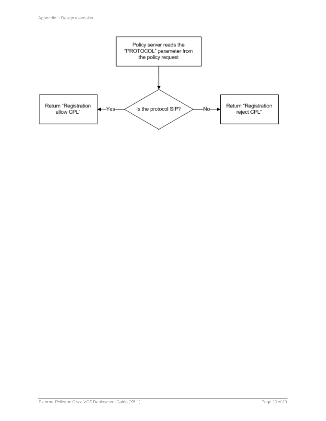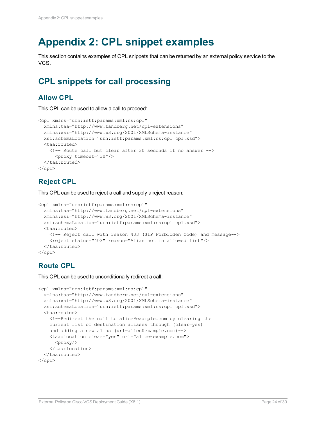## <span id="page-23-0"></span>**Appendix 2: CPL snippet examples**

This section contains examples of CPL snippets that can be returned by an external policy service to the VCS.

## <span id="page-23-1"></span>**CPL snippets for call processing**

#### <span id="page-23-2"></span>**Allow CPL**

This CPL can be used to allow a call to proceed:

```
<cpl xmlns="urn:ietf:params:xml:ns:cpl"
  xmlns:taa="http://www.tandberg.net/cpl-extensions"
  xmlns:xsi="http://www.w3.org/2001/XMLSchema-instance"
  xsi:schemaLocation="urn:ietf:params:xml:ns:cpl cpl.xsd">
  <taa:routed>
    <!-- Route call but clear after 30 seconds if no answer -->
      <proxy timeout="30"/>
  </taa:routed>
\langle / cpl >
```
### <span id="page-23-3"></span>**Reject CPL**

This CPL can be used to reject a call and supply a reject reason:

```
<cpl xmlns="urn:ietf:params:xml:ns:cpl"
  xmlns:taa="http://www.tandberg.net/cpl-extensions"
  xmlns:xsi="http://www.w3.org/2001/XMLSchema-instance"
  xsi:schemaLocation="urn:ietf:params:xml:ns:cpl cpl.xsd">
  <taa:routed>
   <!-- Reject call with reason 403 (SIP Forbidden Code) and message-->
    <reject status="403" reason="Alias not in allowed list"/>
  </taa:routed>
\langle cpl>
```
#### <span id="page-23-4"></span>**Route CPL**

This CPL can be used to unconditionally redirect a call:

```
<cpl xmlns="urn:ietf:params:xml:ns:cpl"
  xmlns:taa="http://www.tandberg.net/cpl-extensions"
  xmlns:xsi="http://www.w3.org/2001/XMLSchema-instance"
  xsi:schemaLocation="urn:ietf:params:xml:ns:cpl cpl.xsd">
  <taa:routed>
   <!--Redirect the call to alice@example.com by clearing the
   current list of destination aliases through (clear=yes)
   and adding a new alias (url=alice@example.com)-->
   <taa:location clear="yes" url="alice@example.com">
      <proxy/>
    </taa:location>
  </taa:routed>
\langle cpl>
```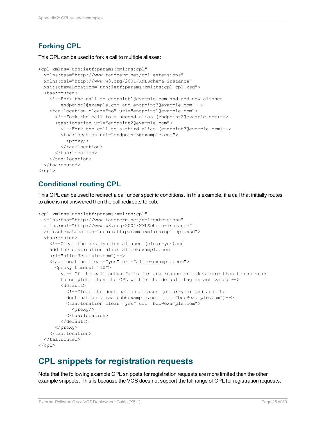### <span id="page-24-0"></span>**Forking CPL**

This CPL can be used to fork a call to multiple aliases:

```
<cpl xmlns="urn:ietf:params:xml:ns:cpl"
  xmlns:taa="http://www.tandberg.net/cpl-extensions"
  xmlns:xsi="http://www.w3.org/2001/XMLSchema-instance"
  xsi:schemaLocation="urn:ietf:params:xml:ns:cpl cpl.xsd">
  <taa:routed>
    <!--Fork the call to endpoint1@example.com and add new aliases
        endpoint2@example.com and endpoint3@example.com -->
    <taa:location clear="no" url="endpoint1@example.com">
      <!--Fork the call to a second alias (endpoint2@example.com)-->
      <taa:location url="endpoint2@example.com">
        <!--Fork the call to a third alias (endpoint3@example.com)-->
        <taa:location url="endpoint3@example.com">
          <proxy/>
        </taa:location>
      </taa:location>
    </taa:location>
  </taa:routed>
\langle / cpl \rangle
```
#### <span id="page-24-1"></span>**Conditional routing CPL**

This CPL can be used to redirect a call under specific conditions. In this example, if a call that initially routes to alice is not answered then the call redirects to bob:

```
<cpl xmlns="urn:ietf:params:xml:ns:cpl"
  xmlns:taa="http://www.tandberg.net/cpl-extensions"
  xmlns:xsi="http://www.w3.org/2001/XMLSchema-instance"
  xsi:schemaLocation="urn:ietf:params:xml:ns:cpl cpl.xsd">
  <taa:routed>
   <!--Clear the destination aliases (clear=yes)and
    add the destination alias alice@example.com
   url="alice@example.com")-->
   <taa:location clear="yes" url="alice@example.com">
      <proxy timeout="10">
        <!-- If the call setup fails for any reason or takes more than ten seconds
        to complete then the CPL within the default tag is activated -->
        <default>
          <!--Clear the destination aliases (clear=yes) and add the
          destination alias bob@example.com (url="bob@example.com")-->
          <taa:location clear="yes" url="bob@example.com">
            <proxy/>
          </taa:location>
        </default>
      </proxy>
    </taa:location>
  </taa:routed>
\langle / cpl >
```
## <span id="page-24-2"></span>**CPL snippets for registration requests**

Note that the following example CPL snippets for registration requests are more limited than the other example snippets. This is because the VCS does not support the full range of CPL for registration requests.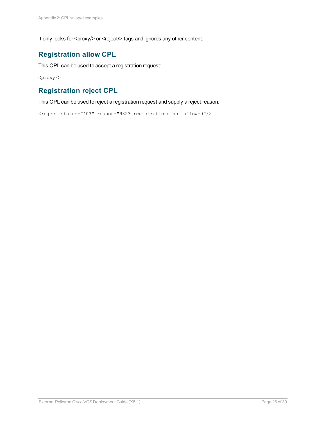<span id="page-25-0"></span>It only looks for <proxy/> or <reject/> tags and ignores any other content.

#### **Registration allow CPL**

This CPL can be used to accept a registration request:

<span id="page-25-1"></span> $<$ proxy/>

#### **Registration reject CPL**

This CPL can be used to reject a registration request and supply a reject reason:

<reject status="403" reason="H323 registrations not allowed"/>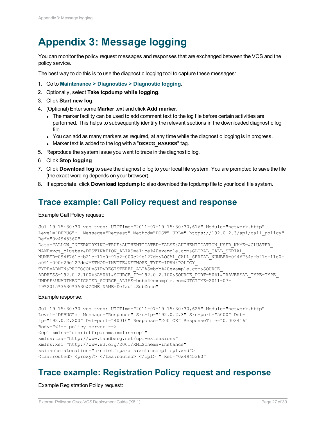## <span id="page-26-0"></span>**Appendix 3: Message logging**

You can monitor the policy request messages and responses that are exchanged between the VCS and the policy service.

The best way to do this is to use the diagnostic logging tool to capture these messages:

- 1. Go to **Maintenance > Diagnostics > Diagnostic logging**.
- 2. Optionally, select **Take tcpdump while logging**.
- 3. Click **Start new log**.
- 4. (Optional) Enter some **Marker** text and click **Add marker**.
	- The marker facility can be used to add comment text to the log file before certain activities are performed. This helps to subsequently identify the relevant sections in the downloaded diagnostic log file.
	- You can add as many markers as required, at any time while the diagnostic logging is in progress.
	- **Marker text is added to the log with a "DEBUG MARKER" tag.**
- 5. Reproduce the system issue you want to trace in the diagnostic log.
- 6. Click **Stop logging**.
- 7. Click **Download log** to save the diagnostic log to your local file system. You are prompted to save the file (the exact wording depends on your browser).
- <span id="page-26-1"></span>8. If appropriate, click **Download tcpdump** to also download the tcpdump file to your local file system.

## **Trace example: Call Policy request and response**

#### Example Call Policy request:

```
Jul 19 15:30:30 vcs tvcs: UTCTime="2011-07-19 15:30:30,616" Module="network.http"
Level="DEBUG": Message="Request" Method="POST" URL=" https://192.0.2.3/api/call_policy"
Ref="0x4945360"
Data="ALLOW_INTERWORKING=TRUE&AUTHENTICATED=FALSE&AUTHENTICATION_USER_NAME=&CLUSTER_
NAME=vcs_cluster&DESTINATION_ALIAS=alice%40example.com&GLOBAL_CALL_SERIAL_
NUMBER=094f761c-b21c-11e0-91a2-000c29e127de&LOCAL_CALL_SERIAL_NUMBER=094f754a-b21c-11e0-
a091-000c29e127de&METHOD=INVITE&NETWORK_TYPE=IPV4&POLICY_
TYPE=ADMIN&PROTOCOL=SIP&REGISTERED_ALIAS=bob%40example.com&SOURCE
ADDRESS=192.0.2.100%3A5061&SOURCE_IP=192.0.2.100&SOURCE_PORT=5061&TRAVERSAL_TYPE=TYPE_
UNDEF&UNAUTHENTICATED_SOURCE_ALIAS=bob%40example.com&UTCTIME=2011-07-
19%2015%3A30%3A30&ZONE_NAME=DefaultSubZone"
```
#### Example response:

```
Jul 19 15:30:30 vcs tvcs: UTCTime="2011-07-19 15:30:30,625" Module="network.http"
Level="DEBUG": Message="Response" Src-ip="192.0.2.3" Src-port="5000" Dst-
ip="192.0.2.200" Dst-port="40010" Response="200 OK" ResponseTime="0.003416"
Body="<!-- policy server -->
<cpl xmlns="urn:ietf:params:xml:ns:cpl"
xmlns:taa="http://www.tandberg.net/cpl-extensions"
xmlns:xsi="http://www.w3.org/2001/XMLSchema-instance"
xsi:schemaLocation="urn:ietf:params:xml:ns:cpl cpl.xsd">
<taa:routed> <proxy/> </taa:routed> </cpl> " Ref="0x4945360"
```
### <span id="page-26-2"></span>**Trace example: Registration Policy request and response**

Example Registration Policy request: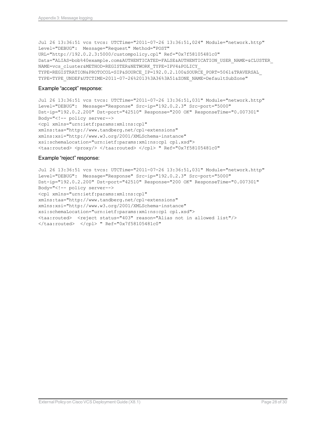Jul 26 13:36:51 vcs tvcs: UTCTime="2011-07-26 13:36:51,024" Module="network.http" Level="DEBUG": Message="Request" Method="POST" URL="http://192.0.2.3:5000/custompolicy.cpl" Ref="0x7f58105481c0" Data="ALIAS=bob%40example.com&AUTHENTICATED=FALSE&AUTHENTICATION\_USER\_NAME=&CLUSTER\_ NAME=vcs\_cluster&METHOD=REGISTER&NETWORK\_TYPE=IPV4&POLICY\_ TYPE=REGISTRATION&PROTOCOL=SIP&SOURCE\_IP=192.0.2.100&SOURCE\_PORT=5061&TRAVERSAL\_ TYPE=TYPE\_UNDEF&UTCTIME=2011-07-26%2013%3A36%3A51&ZONE\_NAME=DefaultSubZone"

#### Example "accept" response:

```
Jul 26 13:36:51 vcs tvcs: UTCTime="2011-07-26 13:36:51,031" Module="network.http"
Level="DEBUG": Message="Response" Src-ip="192.0.2.3" Src-port="5000"
Dst-ip="192.0.2.200" Dst-port="42510" Response="200 OK" ResponseTime="0.007301"
Body="<!-- policy server-->
<cpl xmlns="urn:ietf:params:xml:ns:cpl"
xmlns:taa="http://www.tandberg.net/cpl-extensions"
xmlns:xsi="http://www.w3.org/2001/XMLSchema-instance"
xsi:schemaLocation="urn:ietf:params:xml:ns:cpl cpl.xsd">
<taa:routed> <proxy/> </taa:routed> </cpl> " Ref="0x7f58105481c0"
```
#### Example "reject" response:

```
Jul 26 13:36:51 vcs tvcs: UTCTime="2011-07-26 13:36:51,031" Module="network.http"
Level="DEBUG": Message="Response" Src-ip="192.0.2.3" Src-port="5000"
Dst-ip="192.0.2.200" Dst-port="42510" Response="200 OK" ResponseTime="0.007301"
Body="<!-- policy server-->
<cpl xmlns="urn:ietf:params:xml:ns:cpl"
xmlns:taa="http://www.tandberg.net/cpl-extensions"
xmlns:xsi="http://www.w3.org/2001/XMLSchema-instance"
xsi:schemaLocation="urn:ietf:params:xml:ns:cpl cpl.xsd">
<taa:routed> <reject status="403" reason="Alias not in allowed list"/>
</taa:routed> </cpl> " Ref="0x7f58105481c0"
```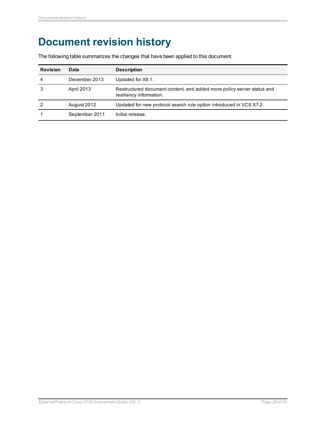## <span id="page-28-0"></span>**Document revision history**

The following table summarizes the changes that have been applied to this document.

| <b>Revision</b> | Date              | <b>Description</b>                                                                                |
|-----------------|-------------------|---------------------------------------------------------------------------------------------------|
| 4               | December 2013     | Updated for X8.1.                                                                                 |
|                 | <b>April 2013</b> | Restructured document content, and added more policy server status and<br>resiliency information. |
|                 | August 2012       | Updated for new protocol search rule option introduced in VCS X7.2.                               |
|                 | September 2011    | Initial release.                                                                                  |